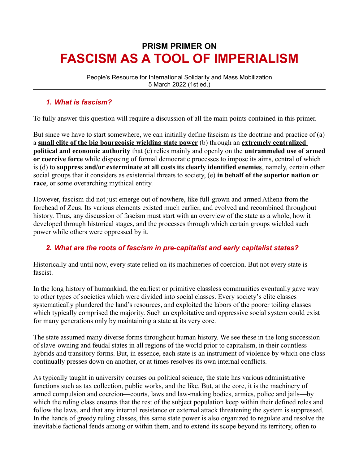# **PRISM PRIMER ON FASCISM AS A TOOL OF IMPERIALISM**

People's Resource for International Solidarity and Mass Mobilization 5 March 2022 (1st ed.)

# *1. What is fascism?*

To fully answer this question will require a discussion of all the main points contained in this primer.

But since we have to start somewhere, we can initially define fascism as the doctrine and practice of (a) a **small elite of the big bourgeoisie wielding state power** (b) through an **extremely centralized political and economic authority** that (c) relies mainly and openly on the **untrammeled use of armed or coercive force** while disposing of formal democratic processes to impose its aims, central of which is (d) to **suppress and/or exterminate at all costs its clearly identified enemies**, namely, certain other social groups that it considers as existential threats to society, (e) **in behalf of the superior nation or race**, or some overarching mythical entity.

However, fascism did not just emerge out of nowhere, like full-grown and armed Athena from the forehead of Zeus. Its various elements existed much earlier, and evolved and recombined throughout history. Thus, any discussion of fascism must start with an overview of the state as a whole, how it developed through historical stages, and the processes through which certain groups wielded such power while others were oppressed by it.

# *2. What are the roots of fascism in pre-capitalist and early capitalist states?*

Historically and until now, every state relied on its machineries of coercion. But not every state is fascist.

In the long history of humankind, the earliest or primitive classless communities eventually gave way to other types of societies which were divided into social classes. Every society's elite classes systematically plundered the land's resources, and exploited the labors of the poorer toiling classes which typically comprised the majority. Such an exploitative and oppressive social system could exist for many generations only by maintaining a state at its very core.

The state assumed many diverse forms throughout human history. We see these in the long succession of slave-owning and feudal states in all regions of the world prior to capitalism, in their countless hybrids and transitory forms. But, in essence, each state is an instrument of violence by which one class continually presses down on another, or at times resolves its own internal conflicts.

As typically taught in university courses on political science, the state has various administrative functions such as tax collection, public works, and the like. But, at the core, it is the machinery of armed compulsion and coercion—courts, laws and law-making bodies, armies, police and jails—by which the ruling class ensures that the rest of the subject population keep within their defined roles and follow the laws, and that any internal resistance or external attack threatening the system is suppressed. In the hands of greedy ruling classes, this same state power is also organized to regulate and resolve the inevitable factional feuds among or within them, and to extend its scope beyond its territory, often to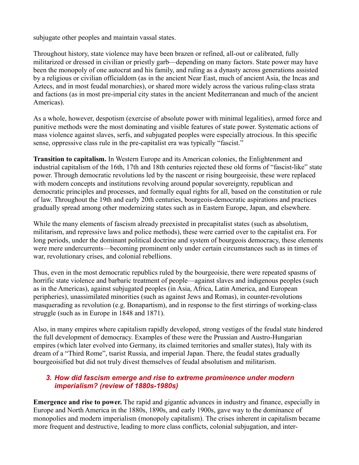subjugate other peoples and maintain vassal states.

Throughout history, state violence may have been brazen or refined, all-out or calibrated, fully militarized or dressed in civilian or priestly garb—depending on many factors. State power may have been the monopoly of one autocrat and his family, and ruling as a dynasty across generations assisted by a religious or civilian officialdom (as in the ancient Near East, much of ancient Asia, the Incas and Aztecs, and in most feudal monarchies), or shared more widely across the various ruling-class strata and factions (as in most pre-imperial city states in the ancient Mediterranean and much of the ancient Americas).

As a whole, however, despotism (exercise of absolute power with minimal legalities), armed force and punitive methods were the most dominating and visible features of state power. Systematic actions of mass violence against slaves, serfs, and subjugated peoples were especially atrocious. In this specific sense, oppressive class rule in the pre-capitalist era was typically "fascist."

**Transition to capitalism.** In Western Europe and its American colonies, the Enlightenment and industrial capitalism of the 16th, 17th and 18th centuries rejected these old forms of "fascist-like" state power. Through democratic revolutions led by the nascent or rising bourgeoisie, these were replaced with modern concepts and institutions revolving around popular sovereignty, republican and democratic principles and processes, and formally equal rights for all, based on the constitution or rule of law. Throughout the 19th and early 20th centuries, bourgeois-democratic aspirations and practices gradually spread among other modernizing states such as in Eastern Europe, Japan, and elsewhere.

While the many elements of fascism already preexisted in precapitalist states (such as absolutism, militarism, and repressive laws and police methods), these were carried over to the capitalist era. For long periods, under the dominant political doctrine and system of bourgeois democracy, these elements were mere undercurrents—becoming prominent only under certain circumstances such as in times of war, revolutionary crises, and colonial rebellions.

Thus, even in the most democratic republics ruled by the bourgeoisie, there were repeated spasms of horrific state violence and barbaric treatment of people—against slaves and indigenous peoples (such as in the Americas), against subjugated peoples (in Asia, Africa, Latin America, and European peripheries), unassimilated minorities (such as against Jews and Romas), in counter-revolutions masquerading as revolution (e.g. Bonapartism), and in response to the first stirrings of working-class struggle (such as in Europe in 1848 and 1871).

Also, in many empires where capitalism rapidly developed, strong vestiges of the feudal state hindered the full development of democracy. Examples of these were the Prussian and Austro-Hungarian empires (which later evolved into Germany, its claimed territories and smaller states), Italy with its dream of a "Third Rome", tsarist Russia, and imperial Japan. There, the feudal states gradually bourgeoisified but did not truly divest themselves of feudal absolutism and militarism.

#### *3. How did fascism emerge and rise to extreme prominence under modern imperialism? (review of 1880s-1980s)*

**Emergence and rise to power.** The rapid and gigantic advances in industry and finance, especially in Europe and North America in the 1880s, 1890s, and early 1900s, gave way to the dominance of monopolies and modern imperialism (monopoly capitalism). The crises inherent in capitalism became more frequent and destructive, leading to more class conflicts, colonial subjugation, and inter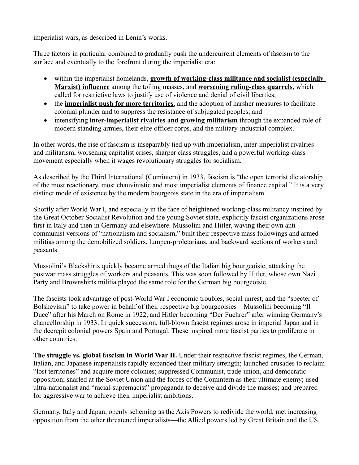imperialist wars, as described in Lenin's works.

Three factors in particular combined to gradually push the undercurrent elements of fascism to the surface and eventually to the forefront during the imperialist era:

- within the imperialist homelands, **growth of working-class militance and socialist (especially Marxist) influence** among the toiling masses, and **worsening ruling-class quarrels**, which called for restrictive laws to justify use of violence and denial of civil liberties;
- the **imperialist push for more territories**, and the adoption of harsher measures to facilitate colonial plunder and to suppress the resistance of subjugated peoples; and
- intensifying **inter-imperialist rivalries and growing militarism** through the expanded role of modern standing armies, their elite officer corps, and the military-industrial complex.

In other words, the rise of fascism is inseparably tied up with imperialism, inter-imperialist rivalries and militarism, worsening capitalist crises, sharper class struggles, and a powerful working-class movement especially when it wages revolutionary struggles for socialism.

As described by the Third International (Comintern) in 1933, fascism is "the open terrorist dictatorship of the most reactionary, most chauvinistic and most imperialist elements of finance capital." It is a very distinct mode of existence by the modern bourgeois state in the era of imperialism.

Shortly after World War I, and especially in the face of heightened working-class militancy inspired by the Great October Socialist Revolution and the young Soviet state, explicitly fascist organizations arose first in Italy and then in Germany and elsewhere. Mussolini and Hitler, waving their own anticommunist versions of "nationalism and socialism," built their respective mass followings and armed militias among the demobilized soldiers, lumpen-proletarians, and backward sections of workers and peasants.

Mussolini's Blackshirts quickly became armed thugs of the Italian big bourgeoisie, attacking the postwar mass struggles of workers and peasants. This was soon followed by Hitler, whose own Nazi Party and Brownshirts militia played the same role for the German big bourgeoisie.

The fascists took advantage of post-World War I economic troubles, social unrest, and the "specter of Bolshevism" to take power in behalf of their respective big bourgeoisies—Mussolini becoming "Il Duce" after his March on Rome in 1922, and Hitler becoming "Der Fuehrer" after winning Germany's chancellorship in 1933. In quick succession, full-blown fascist regimes arose in imperial Japan and in the decrepit colonial powers Spain and Portugal. These inspired more fascist parties to proliferate in other countries.

**The struggle vs. global fascism in World War II.** Under their respective fascist regimes, the German, Italian, and Japanese imperialists rapidly expanded their military strength; launched crusades to reclaim "lost territories" and acquire more colonies; suppressed Communist, trade-union, and democratic opposition; snarled at the Soviet Union and the forces of the Comintern as their ultimate enemy; used ultra-nationalist and "racial-supremacist" propaganda to deceive and divide the masses; and prepared for aggressive war to achieve their imperialist ambitions.

Germany, Italy and Japan, openly scheming as the Axis Powers to redivide the world, met increasing opposition from the other threatened imperialists—the Allied powers led by Great Britain and the US.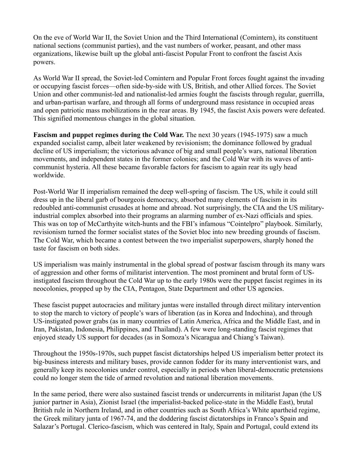On the eve of World War II, the Soviet Union and the Third International (Comintern), its constituent national sections (communist parties), and the vast numbers of worker, peasant, and other mass organizations, likewise built up the global anti-fascist Popular Front to confront the fascist Axis powers.

As World War II spread, the Soviet-led Comintern and Popular Front forces fought against the invading or occupying fascist forces—often side-by-side with US, British, and other Allied forces. The Soviet Union and other communist-led and nationalist-led armies fought the fascists through regular, guerrilla, and urban-partisan warfare, and through all forms of underground mass resistance in occupied areas and open patriotic mass mobilizations in the rear areas. By 1945, the fascist Axis powers were defeated. This signified momentous changes in the global situation.

**Fascism and puppet regimes during the Cold War.** The next 30 years (1945-1975) saw a much expanded socialist camp, albeit later weakened by revisionism; the dominance followed by gradual decline of US imperialism; the victorious advance of big and small people's wars, national liberation movements, and independent states in the former colonies; and the Cold War with its waves of anticommunist hysteria. All these became favorable factors for fascism to again rear its ugly head worldwide.

Post-World War II imperialism remained the deep well-spring of fascism. The US, while it could still dress up in the liberal garb of bourgeois democracy, absorbed many elements of fascism in its redoubled anti-communist crusades at home and abroad. Not surprisingly, the CIA and the US militaryindustrial complex absorbed into their programs an alarming number of ex-Nazi officials and spies. This was on top of McCarthyite witch-hunts and the FBI's infamous "Cointelpro" playbook. Similarly, revisionism turned the former socialist states of the Soviet bloc into new breeding grounds of fascism. The Cold War, which became a contest between the two imperialist superpowers, sharply honed the taste for fascism on both sides.

US imperialism was mainly instrumental in the global spread of postwar fascism through its many wars of aggression and other forms of militarist intervention. The most prominent and brutal form of USinstigated fascism throughout the Cold War up to the early 1980s were the puppet fascist regimes in its neocolonies, propped up by the CIA, Pentagon, State Department and other US agencies.

These fascist puppet autocracies and military juntas were installed through direct military intervention to stop the march to victory of people's wars of liberation (as in Korea and Indochina), and through US-instigated power grabs (as in many countries of Latin America, Africa and the Middle East, and in Iran, Pakistan, Indonesia, Philippines, and Thailand). A few were long-standing fascist regimes that enjoyed steady US support for decades (as in Somoza's Nicaragua and Chiang's Taiwan).

Throughout the 1950s-1970s, such puppet fascist dictatorships helped US imperialism better protect its big-business interests and military bases, provide cannon fodder for its many interventionist wars, and generally keep its neocolonies under control, especially in periods when liberal-democratic pretensions could no longer stem the tide of armed revolution and national liberation movements.

In the same period, there were also sustained fascist trends or undercurrents in militarist Japan (the US junior partner in Asia), Zionist Israel (the imperialist-backed police-state in the Middle East), brutal British rule in Northern Ireland, and in other countries such as South Africa's White apartheid regime, the Greek military junta of 1967-74, and the doddering fascist dictatorships in Franco's Spain and Salazar's Portugal. Clerico-fascism, which was centered in Italy, Spain and Portugal, could extend its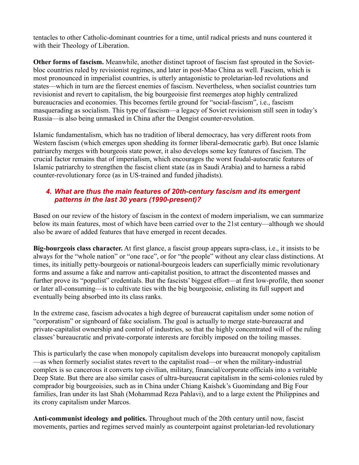tentacles to other Catholic-dominant countries for a time, until radical priests and nuns countered it with their Theology of Liberation.

**Other forms of fascism.** Meanwhile, another distinct taproot of fascism fast sprouted in the Sovietbloc countries ruled by revisionist regimes, and later in post-Mao China as well. Fascism, which is most pronounced in imperialist countries, is utterly antagonistic to proletarian-led revolutions and states—which in turn are the fiercest enemies of fascism. Nevertheless, when socialist countries turn revisionist and revert to capitalism, the big bourgeoisie first reemerges atop highly centralized bureaucracies and economies. This becomes fertile ground for "social-fascism", i.e., fascism masquerading as socialism. This type of fascism—a legacy of Soviet revisionism still seen in today's Russia—is also being unmasked in China after the Dengist counter-revolution.

Islamic fundamentalism, which has no tradition of liberal democracy, has very different roots from Western fascism (which emerges upon shedding its former liberal-democratic garb). But once Islamic patriarchy merges with bourgeois state power, it also develops some key features of fascism. The crucial factor remains that of imperialism, which encourages the worst feudal-autocratic features of Islamic patriarchy to strengthen the fascist client state (as in Saudi Arabia) and to harness a rabid counter-revolutionary force (as in US-trained and funded jihadists).

## *4. What are thus the main features of 20th-century fascism and its emergent patterns in the last 30 years (1990-present)?*

Based on our review of the history of fascism in the context of modern imperialism, we can summarize below its main features, most of which have been carried over to the 21st century—although we should also be aware of added features that have emerged in recent decades.

**Big-bourgeois class character.** At first glance, a fascist group appears supra-class, i.e., it insists to be always for the "whole nation" or "one race", or for "the people" without any clear class distinctions. At times, its initially petty-bourgeois or national-bourgeois leaders can superficially mimic revolutionary forms and assume a fake and narrow anti-capitalist position, to attract the discontented masses and further prove its "populist" credentials. But the fascists' biggest effort—at first low-profile, then sooner or later all-consuming—is to cultivate ties with the big bourgeoisie, enlisting its full support and eventually being absorbed into its class ranks.

In the extreme case, fascism advocates a high degree of bureaucrat capitalism under some notion of "corporatism" or signboard of fake socialism. The goal is actually to merge state-bureaucrat and private-capitalist ownership and control of industries, so that the highly concentrated will of the ruling classes' bureaucratic and private-corporate interests are forcibly imposed on the toiling masses.

This is particularly the case when monopoly capitalism develops into bureaucrat monopoly capitalism —as when formerly socialist states revert to the capitalist road—or when the military-industrial complex is so cancerous it converts top civilian, military, financial/corporate officials into a veritable Deep State. But there are also similar cases of ultra-bureaucrat capitalism in the semi-colonies ruled by comprador big bourgeoisies, such as in China under Chiang Kaishek's Guomindang and Big Four families, Iran under its last Shah (Mohammad Reza Pahlavi), and to a large extent the Philippines and its crony capitalism under Marcos.

**Anti-communist ideology and politics.** Throughout much of the 20th century until now, fascist movements, parties and regimes served mainly as counterpoint against proletarian-led revolutionary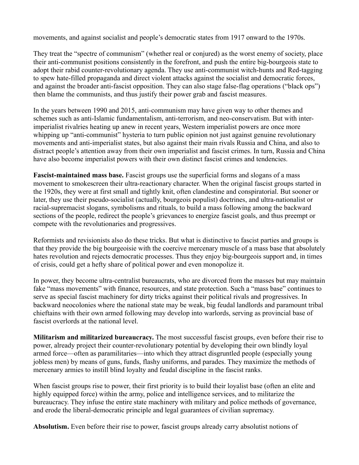movements, and against socialist and people's democratic states from 1917 onward to the 1970s.

They treat the "spectre of communism" (whether real or conjured) as the worst enemy of society, place their anti-communist positions consistently in the forefront, and push the entire big-bourgeois state to adopt their rabid counter-revolutionary agenda. They use anti-communist witch-hunts and Red-tagging to spew hate-filled propaganda and direct violent attacks against the socialist and democratic forces, and against the broader anti-fascist opposition. They can also stage false-flag operations ("black ops") then blame the communists, and thus justify their power grab and fascist measures.

In the years between 1990 and 2015, anti-communism may have given way to other themes and schemes such as anti-Islamic fundamentalism, anti-terrorism, and neo-conservatism. But with interimperialist rivalries heating up anew in recent years, Western imperialist powers are once more whipping up "anti-communist" hysteria to turn public opinion not just against genuine revolutionary movements and anti-imperialist states, but also against their main rivals Russia and China, and also to distract people's attention away from their own imperialist and fascist crimes. In turn, Russia and China have also become imperialist powers with their own distinct fascist crimes and tendencies.

**Fascist-maintained mass base.** Fascist groups use the superficial forms and slogans of a mass movement to smokescreen their ultra-reactionary character. When the original fascist groups started in the 1920s, they were at first small and tightly knit, often clandestine and conspiratorial. But sooner or later, they use their pseudo-socialist (actually, bourgeois populist) doctrines, and ultra-nationalist or racial-supremacist slogans, symbolisms and rituals, to build a mass following among the backward sections of the people, redirect the people's grievances to energize fascist goals, and thus preempt or compete with the revolutionaries and progressives.

Reformists and revisionists also do these tricks. But what is distinctive to fascist parties and groups is that they provide the big bourgeoisie with the coercive mercenary muscle of a mass base that absolutely hates revolution and rejects democratic processes. Thus they enjoy big-bourgeois support and, in times of crisis, could get a hefty share of political power and even monopolize it.

In power, they become ultra-centralist bureaucrats, who are divorced from the masses but may maintain fake "mass movements" with finance, resources, and state protection. Such a "mass base" continues to serve as special fascist machinery for dirty tricks against their political rivals and progressives. In backward neocolonies where the national state may be weak, big feudal landlords and paramount tribal chieftains with their own armed following may develop into warlords, serving as provincial base of fascist overlords at the national level.

**Militarism and militarized bureaucracy.** The most successful fascist groups, even before their rise to power, already project their counter-revolutionary potential by developing their own blindly loyal armed force—often as paramilitaries—into which they attract disgruntled people (especially young jobless men) by means of guns, funds, flashy uniforms, and parades. They maximize the methods of mercenary armies to instill blind loyalty and feudal discipline in the fascist ranks.

When fascist groups rise to power, their first priority is to build their loyalist base (often an elite and highly equipped force) within the army, police and intelligence services, and to militarize the bureaucracy. They infuse the entire state machinery with military and police methods of governance, and erode the liberal-democratic principle and legal guarantees of civilian supremacy.

**Absolutism.** Even before their rise to power, fascist groups already carry absolutist notions of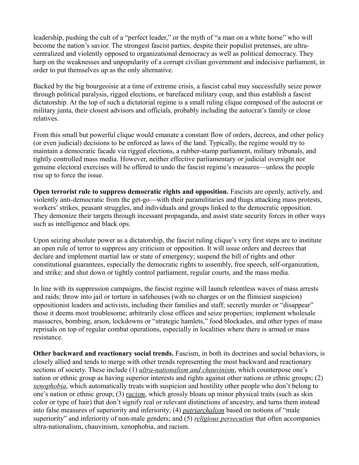leadership, pushing the cult of a "perfect leader," or the myth of "a man on a white horse" who will become the nation's savior. The strongest fascist parties, despite their populist pretenses, are ultracentralized and violently opposed to organizational democracy as well as political democracy. They harp on the weaknesses and unpopularity of a corrupt civilian government and indecisive parliament, in order to put themselves up as the only alternative.

Backed by the big bourgeoisie at a time of extreme crisis, a fascist cabal may successfully seize power through political paralysis, rigged elections, or barefaced military coup, and thus establish a fascist dictatorship. At the top of such a dictatorial regime is a small ruling clique composed of the autocrat or military junta, their closest advisors and officials, probably including the autocrat's family or close relatives.

From this small but powerful clique would emanate a constant flow of orders, decrees, and other policy (or even judicial) decisions to be enforced as laws of the land. Typically, the regime would try to maintain a democratic facade via rigged elections, a rubber-stamp parliament, military tribunals, and tightly controlled mass media. However, neither effective parliamentary or judicial oversight nor genuine electoral exercises will be offered to undo the fascist regime's measures—unless the people rise up to force the issue.

**Open terrorist rule to suppress democratic rights and opposition.** Fascists are openly, actively, and violently anti-democratic from the get-go—with their paramilitaries and thugs attacking mass protests, workers' strikes, peasant struggles, and individuals and groups linked to the democratic opposition. They demonize their targets through incessant propaganda, and assist state security forces in other ways such as intelligence and black ops.

Upon seizing absolute power as a dictatorship, the fascist ruling clique's very first steps are to institute an open rule of terror to suppress any criticism or opposition. It will issue orders and decrees that declare and implement martial law or state of emergency; suspend the bill of rights and other constitutional guarantees, especially the democratic rights to assembly, free speech, self-organization, and strike; and shut down or tightly control parliament, regular courts, and the mass media.

In line with its suppression campaigns, the fascist regime will launch relentless waves of mass arrests and raids; throw into jail or torture in safehouses (with no charges or on the flimsiest suspicion) oppositionist leaders and activists, including their families and staff; secretly murder or "disappear" those it deems most troublesome; arbitrarily close offices and seize properties; implement wholesale massacres, bombing, arson, lockdowns or "strategic hamlets," food blockades, and other types of mass reprisals on top of regular combat operations, especially in localities where there is armed or mass resistance.

**Other backward and reactionary social trends.** Fascism, in both its doctrines and social behaviors, is closely allied and tends to merge with other trends representing the most backward and reactionary sections of society. These include (1) *ultra-nationalism and chauvinism*, which counterpose one's nation or ethnic group as having superior interests and rights against other nations or ethnic groups; (2) *xenophobia*, which automatically treats with suspicion and hostility other people who don't belong to one's nation or ethnic group; (3) *racism*, which grossly bloats up minor physical traits (such as skin color or type of hair) that don't signify real or relevant distinctions of ancestry, and turns them instead into false measures of superiority and inferiority; (4) *patriarchalism* based on notions of "male superiority" and inferiority of non-male genders; and (5) *religious persecution* that often accompanies ultra-nationalism, chauvinism, xenophobia, and racism.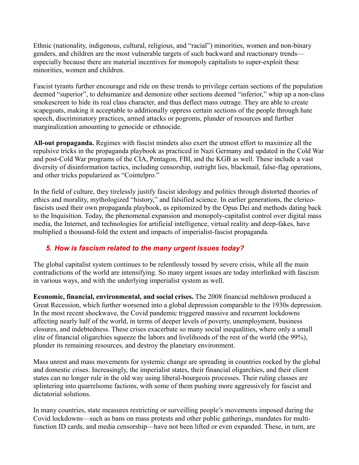Ethnic (nationality, indigenous, cultural, religious, and "racial") minorities, women and non-binary genders, and children are the most vulnerable targets of such backward and reactionary trends especially because there are material incentives for monopoly capitalists to super-exploit these minorities, women and children.

Fascist tyrants further encourage and ride on these trends to privilege certain sections of the population deemed "superior", to dehumanize and demonize other sections deemed "inferior," whip up a non-class smokescreen to hide its real class character, and thus deflect mass outrage. They are able to create scapegoats, making it acceptable to additionally oppress certain sections of the people through hate speech, discriminatory practices, armed attacks or pogroms, plunder of resources and further marginalization amounting to genocide or ethnocide.

**All-out propaganda.** Regimes with fascist mindets also exert the utmost effort to maximize all the repulsive tricks in the propaganda playbook as practiced in Nazi Germany and updated in the Cold War and post-Cold War programs of the CIA, Pentagon, FBI, and the KGB as well. These include a vast diversity of disinformation tactics, including censorship, outright lies, blackmail, false-flag operations, and other tricks popularized as "Cointelpro."

In the field of culture, they tirelessly justify fascist ideology and politics through distorted theories of ethics and morality, mythologized "history," and falsified science. In earlier generations, the clericofascists used their own propaganda playbook, as epitomized by the Opus Dei and methods dating back to the Inquisition. Today, the phenomenal expansion and monopoly-capitalist control over digital mass media, the Internet, and technologies for artificial intelligence, virtual reality and deep-fakes, have multiplied a thousand-fold the extent and impacts of imperialist-fascist propaganda.

# *5. How is fascism related to the many urgent issues today?*

The global capitalist system continues to be relentlessly tossed by severe crisis, while all the main contradictions of the world are intensifying. So many urgent issues are today interlinked with fascism in various ways, and with the underlying imperialist system as well.

**Economic, financial, environmental, and social crises.** The 2008 financial meltdown produced a Great Recession, which further worsened into a global depression comparable to the 1930s depression. In the most recent shockwave, the Covid pandemic triggered massive and recurrent lockdowns affecting nearly half of the world, in terms of deeper levels of poverty, unemployment, business closures, and indebtedness. These crises exacerbate so many social inequalities, where only a small elite of financial oligarchies squeeze the labors and livelihoods of the rest of the world (the 99%), plunder its remaining resources, and destroy the planetary environment.

Mass unrest and mass movements for systemic change are spreading in countries rocked by the global and domestic crises. Increasingly, the imperialist states, their financial oligarchies, and their client states can no longer rule in the old way using liberal-bourgeois processes. Their ruling classes are splintering into quarrelsome factions, with some of them pushing more aggressively for fascist and dictatorial solutions.

In many countries, state measures restricting or surveilling people's movements imposed during the Covid lockdowns—such as bans on mass protests and other public gatherings, mandates for multifunction ID cards, and media censorship—have not been lifted or even expanded. These, in turn, are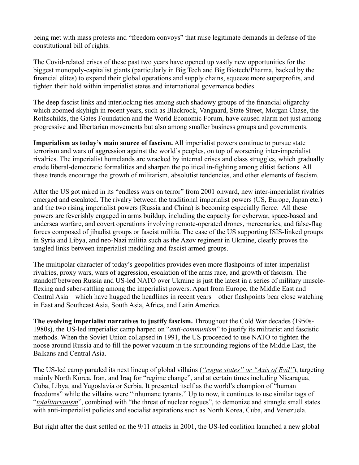being met with mass protests and "freedom convoys" that raise legitimate demands in defense of the constitutional bill of rights.

The Covid-related crises of these past two years have opened up vastly new opportunities for the biggest monopoly-capitalist giants (particularly in Big Tech and Big Biotech/Pharma, backed by the financial elites) to expand their global operations and supply chains, squeeze more superprofits, and tighten their hold within imperialist states and international governance bodies.

The deep fascist links and interlocking ties among such shadowy groups of the financial oligarchy which zoomed skyhigh in recent years, such as Blackrock, Vanguard, State Street, Morgan Chase, the Rothschilds, the Gates Foundation and the World Economic Forum, have caused alarm not just among progressive and libertarian movements but also among smaller business groups and governments.

**Imperialism as today's main source of fascism.** All imperialist powers continue to pursue state terrorism and wars of aggression against the world's peoples, on top of worsening inter-imperialist rivalries. The imperialist homelands are wracked by internal crises and class struggles, which gradually erode liberal-democratic formalities and sharpen the political in-fighting among elitist factions. All these trends encourage the growth of militarism, absolutist tendencies, and other elements of fascism.

After the US got mired in its "endless wars on terror" from 2001 onward, new inter-imperialist rivalries emerged and escalated. The rivalry between the traditional imperialist powers (US, Europe, Japan etc.) and the two rising imperialist powers (Russia and China) is becoming especially fierce. All these powers are feverishly engaged in arms buildup, including the capacity for cyberwar, space-based and undersea warfare, and covert operations involving remote-operated drones, mercenaries, and false-flag forces composed of jihadist groups or fascist militia. The case of the US supporting ISIS-linked groups in Syria and Libya, and neo-Nazi militia such as the Azov regiment in Ukraine, clearly proves the tangled links between imperialist meddling and fascist armed groups.

The multipolar character of today's geopolitics provides even more flashpoints of inter-imperialist rivalries, proxy wars, wars of aggression, escalation of the arms race, and growth of fascism. The standoff between Russia and US-led NATO over Ukraine is just the latest in a series of military muscleflexing and saber-rattling among the imperialist powers. Apart from Europe, the Middle East and Central Asia—which have hugged the headlines in recent years—other flashpoints bear close watching in East and Southeast Asia, South Asia, Africa, and Latin America.

**The evolving imperialist narratives to justify fascism.** Throughout the Cold War decades (1950s-1980s), the US-led imperialist camp harped on "*anti-communism*" to justify its militarist and fascistic methods. When the Soviet Union collapsed in 1991, the US proceeded to use NATO to tighten the noose around Russia and to fill the power vacuum in the surrounding regions of the Middle East, the Balkans and Central Asia.

The US-led camp paraded its next lineup of global villains (*"rogue states" or "Axis of Evil"*), targeting mainly North Korea, Iran, and Iraq for "regime change", and at certain times including Nicaragua, Cuba, Libya, and Yugoslavia or Serbia. It presented itself as the world's champion of "human freedoms" while the villains were "inhumane tyrants." Up to now, it continues to use similar tags of "*totalitarianism*", combined with "the threat of nuclear rogues", to demonize and strangle small states with anti-imperialist policies and socialist aspirations such as North Korea, Cuba, and Venezuela.

But right after the dust settled on the 9/11 attacks in 2001, the US-led coalition launched a new global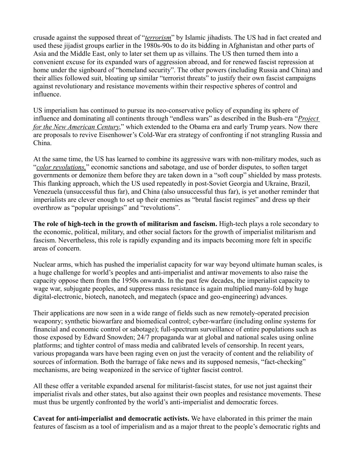crusade against the supposed threat of "*terrorism*" by Islamic jihadists. The US had in fact created and used these jijadist groups earlier in the 1980s-90s to do its bidding in Afghanistan and other parts of Asia and the Middle East, only to later set them up as villains. The US then turned them into a convenient excuse for its expanded wars of aggression abroad, and for renewed fascist repression at home under the signboard of "homeland security". The other powers (including Russia and China) and their allies followed suit, bloating up similar "terrorist threats" to justify their own fascist campaigns against revolutionary and resistance movements within their respective spheres of control and influence.

US imperialism has continued to pursue its neo-conservative policy of expanding its sphere of influence and dominating all continents through "endless wars" as described in the Bush-era "*Project for the New American Century*," which extended to the Obama era and early Trump years. Now there are proposals to revive Eisenhower's Cold-War era strategy of confronting if not strangling Russia and China.

At the same time, the US has learned to combine its aggressive wars with non-military modes, such as "*color revolutions,*" economic sanctions and sabotage, and use of border disputes, to soften target governments or demonize them before they are taken down in a "soft coup" shielded by mass protests. This flanking approach, which the US used repeatedly in post-Soviet Georgia and Ukraine, Brazil, Venezuela (unsuccessful thus far), and China (also unsuccessful thus far), is yet another reminder that imperialists are clever enough to set up their enemies as "brutal fascist regimes" and dress up their overthrow as "popular uprisings" and "revolutions".

**The role of high-tech in the growth of militarism and fascism.** High-tech plays a role secondary to the economic, political, military, and other social factors for the growth of imperialist militarism and fascism. Nevertheless, this role is rapidly expanding and its impacts becoming more felt in specific areas of concern.

Nuclear arms, which has pushed the imperialist capacity for war way beyond ultimate human scales, is a huge challenge for world's peoples and anti-imperialist and antiwar movements to also raise the capacity oppose them from the 1950s onwards. In the past few decades, the imperialist capacity to wage war, subjugate peoples, and suppress mass resistance is again multiplied many-fold by huge digital-electronic, biotech, nanotech, and megatech (space and geo-engineering) advances.

Their applications are now seen in a wide range of fields such as new remotely-operated precision weaponry; synthetic biowarfare and biomedical control; cyber-warfare (including online systems for financial and economic control or sabotage); full-spectrum surveillance of entire populations such as those exposed by Edward Snowden; 24/7 propaganda war at global and national scales using online platforms; and tighter control of mass media and calibrated levels of censorship. In recent years, various propaganda wars have been raging even on just the veracity of content and the reliability of sources of information. Both the barrage of fake news and its supposed nemesis, "fact-checking" mechanisms, are being weaponized in the service of tighter fascist control.

All these offer a veritable expanded arsenal for militarist-fascist states, for use not just against their imperialist rivals and other states, but also against their own peoples and resistance movements. These must thus be urgently confronted by the world's anti-imperialist and democratic forces.

**Caveat for anti-imperialist and democratic activists.** We have elaborated in this primer the main features of fascism as a tool of imperialism and as a major threat to the people's democratic rights and